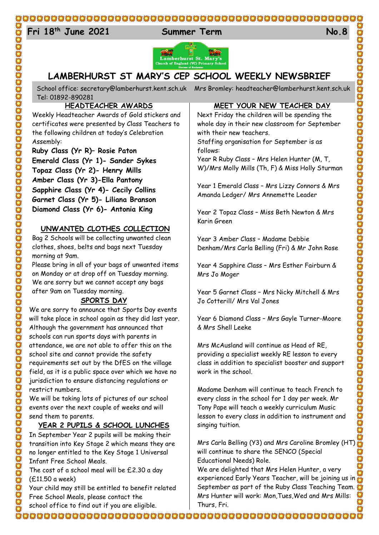#### 

# 24 **Fri 18**

**the Summer Term No.8** 



## **LAMBERHURST ST MARY'S CEP SCHOOL WEEKLY NEWSBRIEF**

School office: [secretary@lamberhurst.kent.sch.uk](mailto:secretary@lamberhurst.kent.sch.uk) Mrs Bromley: headteacher@lamberhurst.kent.sch.uk Tel: 01892-890281

#### **HEADTEACHER AWARDS**

Weekly Headteacher Awards of Gold stickers and certificates were presented by Class Teachers to the following children at today's Celebration Assembly:

**Ruby Class (Yr R)– Rosie Paton Emerald Class (Yr 1)- Sander Sykes Topaz Class (Yr 2)- Henry Mills Amber Class (Yr 3)-Ella Pantony Sapphire Class (Yr 4)- Cecily Collins Garnet Class (Yr 5)- Liliana Branson Diamond Class (Yr 6)- Antonia King**

#### **UNWANTED CLOTHES COLLECTION**

Bag 2 Schools will be collecting unwanted clean clothes, shoes, belts and bags next Tuesday morning at 9am.

Please bring in all of your bags of unwanted items on Monday or at drop off on Tuesday morning. We are sorry but we cannot accept any bags after 9am on Tuesday morning.

#### **SPORTS DAY**

We are sorry to announce that Sports Day events will take place in school again as they did last year. Although the government has announced that schools can run sports days with parents in attendance, we are not able to offer this on the school site and cannot provide the safety requirements set out by the DfES on the village field, as it is a public space over which we have no jurisdiction to ensure distancing regulations or restrict numbers.

We will be taking lots of pictures of our school events over the next couple of weeks and will send them to parents.

#### **YEAR 2 PUPILS & SCHOOL LUNCHES**

In September Year 2 pupils will be making their transition into Key Stage 2 which means they are no longer entitled to the Key Stage 1 Universal Infant Free School Meals.

The cost of a school meal will be £2.30 a day (£11.50 a week)

Your child may still be entitled to benefit related Free School Meals, please contact the school office to find out if you are eligible.

#### **MEET YOUR NEW TEACHER DAY**

Next Friday the children will be spending the whole day in their new classroom for September with their new teachers.

Staffing organisation for September is as follows:

Year R Ruby Class – Mrs Helen Hunter (M, T, W)/Mrs Molly Mills (Th, F) & Miss Holly Sturman

Year 1 Emerald Class – Mrs Lizzy Connors & Mrs Amanda Ledger/ Mrs Annemette Leader

Year 2 Topaz Class – Miss Beth Newton & Mrs Karin Green

Year 3 Amber Class – Madame Debbie Denham/Mrs Carla Belling (Fri) & Mr John Rose CANGA CANGA CANGA CANGA CANGA CANGA CANGA CANGA CANGA CANGA CANGA CANGA CANGA CANGA CANGA CANGA CANGA CANGA CANG

Year 4 Sapphire Class – Mrs Esther Fairburn & Mrs Jo Moger

Year 5 Garnet Class – Mrs Nicky Mitchell & Mrs Jo Cotterill/ Mrs Val Jones

Year 6 Diamond Class – Mrs Gayle Turner-Moore & Mrs Shell Leeke

Mrs McAusland will continue as Head of RE, providing a specialist weekly RE lesson to every class in addition to specialist booster and support work in the school.

Madame Denham will continue to teach French to every class in the school for 1 day per week. Mr Tony Pape will teach a weekly curriculum Music lesson to every class in addition to instrument and singing tuition.

Mrs Carla Belling (Y3) and Mrs Caroline Bromley (HT) will continue to share the SENCO (Special Educational Needs) Role.

We are delighted that Mrs Helen Hunter, a very experienced Early Years Teacher, will be joining us in September as part of the Ruby Class Teaching Team. Mrs Hunter will work: Mon,Tues,Wed and Mrs Mills: Thurs, Fri.